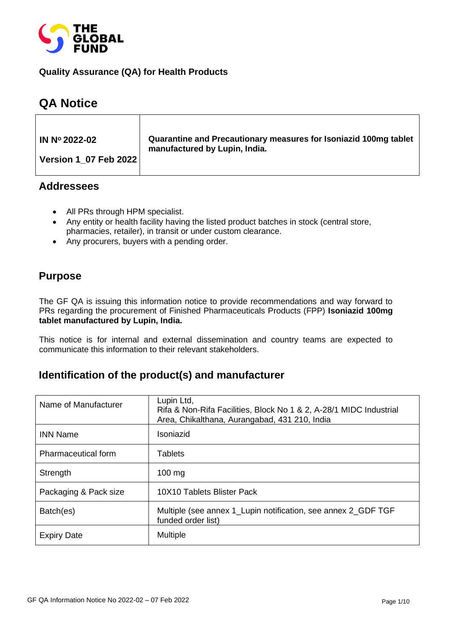

#### **Quality Assurance (QA) for Health Products**

# **QA Notice**

| IN Nº 2022-02                | Quarantine and Precautionary measures for Isoniazid 100mg tablet<br>manufactured by Lupin, India. |
|------------------------------|---------------------------------------------------------------------------------------------------|
| <b>Version 1 07 Feb 2022</b> |                                                                                                   |

### **Addressees**

- All PRs through HPM specialist.
- Any entity or health facility having the listed product batches in stock (central store, pharmacies, retailer), in transit or under custom clearance.
- Any procurers, buyers with a pending order.

## **Purpose**

The GF QA is issuing this information notice to provide recommendations and way forward to PRs regarding the procurement of Finished Pharmaceuticals Products (FPP) **Isoniazid 100mg tablet manufactured by Lupin, India.**

This notice is for internal and external dissemination and country teams are expected to communicate this information to their relevant stakeholders.

## **Identification of the product(s) and manufacturer**

| Name of Manufacturer       | Lupin Ltd,<br>Rifa & Non-Rifa Facilities, Block No 1 & 2, A-28/1 MIDC Industrial<br>Area, Chikalthana, Aurangabad, 431 210, India |
|----------------------------|-----------------------------------------------------------------------------------------------------------------------------------|
| <b>INN Name</b>            | Isoniazid                                                                                                                         |
| <b>Pharmaceutical form</b> | <b>Tablets</b>                                                                                                                    |
| Strength                   | $100 \text{ mg}$                                                                                                                  |
| Packaging & Pack size      | 10X10 Tablets Blister Pack                                                                                                        |
| Batch(es)                  | Multiple (see annex 1_Lupin notification, see annex 2_GDF TGF<br>funded order list)                                               |
| <b>Expiry Date</b>         | <b>Multiple</b>                                                                                                                   |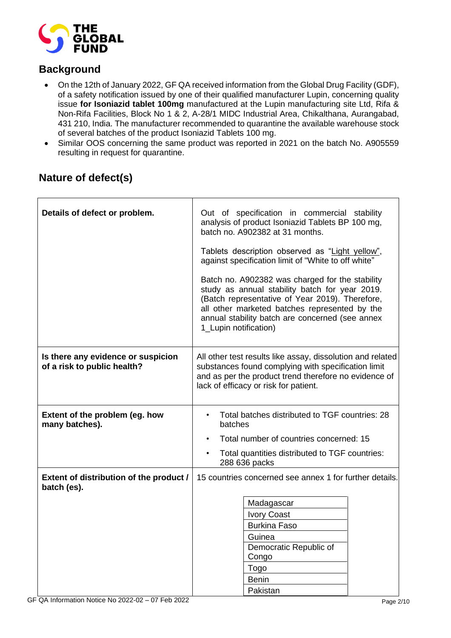

# **Background**

- On the 12th of January 2022, GF QA received information from the Global Drug Facility (GDF), of a safety notification issued by one of their qualified manufacturer Lupin, concerning quality issue **for Isoniazid tablet 100mg** manufactured at the Lupin manufacturing site Ltd, Rifa & Non-Rifa Facilities, Block No 1 & 2, A-28/1 MIDC Industrial Area, Chikalthana, Aurangabad, 431 210, India. The manufacturer recommended to quarantine the available warehouse stock of several batches of the product Isoniazid Tablets 100 mg.
- Similar OOS concerning the same product was reported in 2021 on the batch No. A905559 resulting in request for quarantine.

| Details of defect or problem.                                     | Out of specification in commercial stability<br>analysis of product Isoniazid Tablets BP 100 mg,<br>batch no. A902382 at 31 months.<br>Tablets description observed as "Light yellow",<br>against specification limit of "White to off white"<br>Batch no. A902382 was charged for the stability<br>study as annual stability batch for year 2019.<br>(Batch representative of Year 2019). Therefore,<br>all other marketed batches represented by the<br>annual stability batch are concerned (see annex<br>1_Lupin notification) |  |  |  |  |
|-------------------------------------------------------------------|------------------------------------------------------------------------------------------------------------------------------------------------------------------------------------------------------------------------------------------------------------------------------------------------------------------------------------------------------------------------------------------------------------------------------------------------------------------------------------------------------------------------------------|--|--|--|--|
| Is there any evidence or suspicion<br>of a risk to public health? | All other test results like assay, dissolution and related<br>substances found complying with specification limit<br>and as per the product trend therefore no evidence of<br>lack of efficacy or risk for patient.                                                                                                                                                                                                                                                                                                                |  |  |  |  |
| Extent of the problem (eg. how<br>many batches).                  | Total batches distributed to TGF countries: 28<br>batches                                                                                                                                                                                                                                                                                                                                                                                                                                                                          |  |  |  |  |
|                                                                   | Total number of countries concerned: 15                                                                                                                                                                                                                                                                                                                                                                                                                                                                                            |  |  |  |  |
|                                                                   | Total quantities distributed to TGF countries:<br>288 636 packs                                                                                                                                                                                                                                                                                                                                                                                                                                                                    |  |  |  |  |
| Extent of distribution of the product /<br>batch (es).            | 15 countries concerned see annex 1 for further details.                                                                                                                                                                                                                                                                                                                                                                                                                                                                            |  |  |  |  |
|                                                                   | Madagascar                                                                                                                                                                                                                                                                                                                                                                                                                                                                                                                         |  |  |  |  |
|                                                                   | <b>Ivory Coast</b>                                                                                                                                                                                                                                                                                                                                                                                                                                                                                                                 |  |  |  |  |
|                                                                   | <b>Burkina Faso</b>                                                                                                                                                                                                                                                                                                                                                                                                                                                                                                                |  |  |  |  |
|                                                                   | Guinea<br>Democratic Republic of                                                                                                                                                                                                                                                                                                                                                                                                                                                                                                   |  |  |  |  |
|                                                                   | Congo                                                                                                                                                                                                                                                                                                                                                                                                                                                                                                                              |  |  |  |  |
|                                                                   | Togo                                                                                                                                                                                                                                                                                                                                                                                                                                                                                                                               |  |  |  |  |
|                                                                   | <b>Benin</b>                                                                                                                                                                                                                                                                                                                                                                                                                                                                                                                       |  |  |  |  |
|                                                                   | Pakistan                                                                                                                                                                                                                                                                                                                                                                                                                                                                                                                           |  |  |  |  |

# **Nature of defect(s)**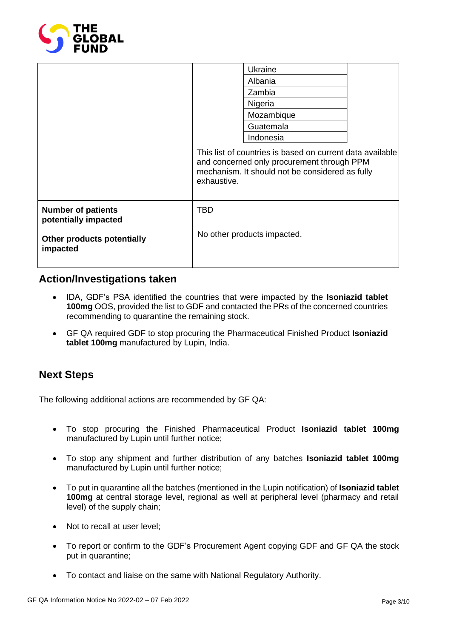

|                                                   |                                                                                                                                                                           | Ukraine                     |  |  |
|---------------------------------------------------|---------------------------------------------------------------------------------------------------------------------------------------------------------------------------|-----------------------------|--|--|
|                                                   |                                                                                                                                                                           | Albania                     |  |  |
|                                                   |                                                                                                                                                                           | Zambia                      |  |  |
|                                                   |                                                                                                                                                                           | Nigeria                     |  |  |
|                                                   |                                                                                                                                                                           | Mozambique                  |  |  |
|                                                   |                                                                                                                                                                           | Guatemala                   |  |  |
|                                                   |                                                                                                                                                                           | Indonesia                   |  |  |
|                                                   | This list of countries is based on current data available<br>and concerned only procurement through PPM<br>mechanism. It should not be considered as fully<br>exhaustive. |                             |  |  |
| <b>Number of patients</b><br>potentially impacted | <b>TBD</b>                                                                                                                                                                |                             |  |  |
| Other products potentially<br>impacted            |                                                                                                                                                                           | No other products impacted. |  |  |

## **Action/Investigations taken**

- IDA, GDF's PSA identified the countries that were impacted by the **Isoniazid tablet 100mg** OOS, provided the list to GDF and contacted the PRs of the concerned countries recommending to quarantine the remaining stock.
- GF QA required GDF to stop procuring the Pharmaceutical Finished Product **Isoniazid tablet 100mg** manufactured by Lupin, India.

## **Next Steps**

The following additional actions are recommended by GF QA:

- To stop procuring the Finished Pharmaceutical Product **Isoniazid tablet 100mg** manufactured by Lupin until further notice;
- To stop any shipment and further distribution of any batches **Isoniazid tablet 100mg** manufactured by Lupin until further notice;
- To put in quarantine all the batches (mentioned in the Lupin notification) of **Isoniazid tablet 100mg** at central storage level, regional as well at peripheral level (pharmacy and retail level) of the supply chain;
- Not to recall at user level;
- To report or confirm to the GDF's Procurement Agent copying GDF and GF QA the stock put in quarantine;
- To contact and liaise on the same with National Regulatory Authority.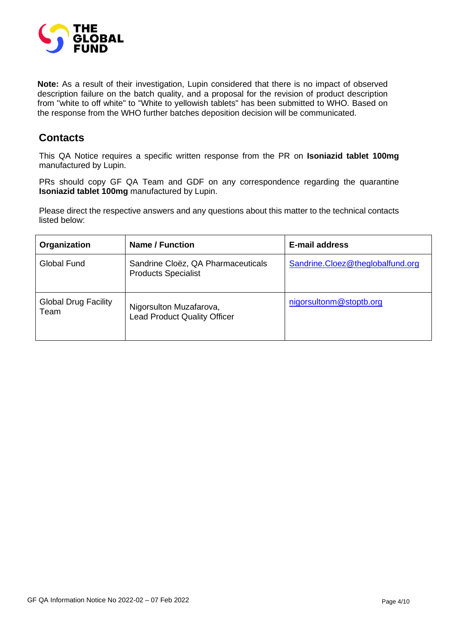

**Note:** As a result of their investigation, Lupin considered that there is no impact of observed description failure on the batch quality, and a proposal for the revision of product description from "white to off white" to "White to yellowish tablets" has been submitted to WHO. Based on the response from the WHO further batches deposition decision will be communicated.

## **Contacts**

This QA Notice requires a specific written response from the PR on **Isoniazid tablet 100mg** manufactured by Lupin.

PRs should copy GF QA Team and GDF on any correspondence regarding the quarantine **Isoniazid tablet 100mg** manufactured by Lupin.

Please direct the respective answers and any questions about this matter to the technical contacts listed below:

| Organization                        | Name / Function                                                  | <b>E-mail address</b>            |
|-------------------------------------|------------------------------------------------------------------|----------------------------------|
| Global Fund                         | Sandrine Cloëz, QA Pharmaceuticals<br><b>Products Specialist</b> | Sandrine.Cloez@theglobalfund.org |
| <b>Global Drug Facility</b><br>Team | Nigorsulton Muzafarova,<br><b>Lead Product Quality Officer</b>   | nigorsultonm@stoptb.org          |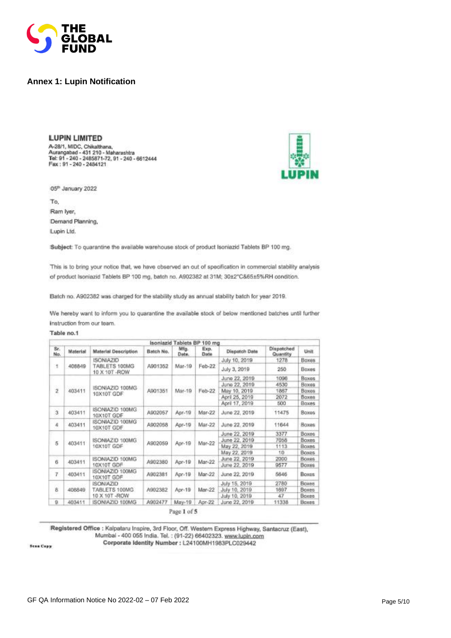

#### **Annex 1: Lupin Notification**

**LUPIN LIMITED** A-28/1, MIDC, Chikalthana,<br>Aurangabad - 431 210 - Maharashtra<br>Tel: 91 - 240 - 2485871-72, 91 - 240 - 6612444<br>Fax : 91 - 240 - 2484121

05<sup>h</sup> January 2022

To, Ram Iyer, Demand Planning, Lupin Ltd.

Subject: To quarantine the available warehouse stock of product Isoniazid Tablets BP 100 mg.

This is to bring your notice that, we have observed an out of specification in commercial stability analysis of product Isoniazid Tablets BP 100 mg, batch no. A902382 at 31M; 30±2°C&65±5%RH condition.

Batch no. A902382 was charged for the stability study as annual stability batch for year 2019.

We hereby want to inform you to quarantine the available stock of below mentioned batches until further Instruction from our team.

#### Table no.1

|                |          |                                |           | Isoniazid Tablets BP 100 mg       |              |                |                        |              |  |  |  |        |              |      |
|----------------|----------|--------------------------------|-----------|-----------------------------------|--------------|----------------|------------------------|--------------|--|--|--|--------|--------------|------|
| Sr.<br>Na.     | Material | <b>Material Description</b>    | Batch No. | Mfg.<br>Date.                     | Exp.<br>Date | Dispatch Date  | Dispatched<br>Quantity | Unit         |  |  |  |        |              |      |
|                |          | <b>ISONIAZID</b>               |           |                                   |              | July 10, 2019  | 1278                   | Boxes        |  |  |  |        |              |      |
| $\ddagger$     | 408849   | TABLETS 100MG<br>10 X 10T -ROW | A901352   | Mar-19                            | Feb-22       | July 3, 2019   | 250                    | Boxes        |  |  |  |        |              |      |
|                |          |                                |           |                                   |              | June 22, 2019  | 1096                   | Boxes        |  |  |  |        |              |      |
| o,             |          |                                |           |                                   |              | June 22, 2019  | 4530                   | Boxes        |  |  |  |        |              |      |
| $\overline{2}$ | 403411   | ISONIAZID 100MG<br>10X10T GDF  | A901351   | Mar-19                            | Feb-22       | May 10, 2019   | 1867                   | <b>Boxes</b> |  |  |  |        |              |      |
|                |          |                                |           |                                   |              | April 25, 2019 | 2072                   | <b>Boxes</b> |  |  |  |        |              |      |
|                |          |                                |           |                                   |              | April 17, 2019 | 500                    | Baxes        |  |  |  |        |              |      |
| 3              | 403411   | ISONIAZID 100MG<br>10X10T GDF  | A902057   | Apr-19<br>Mar-22<br>June 22, 2019 | 11475        | <b>Boxes</b>   |                        |              |  |  |  |        |              |      |
| A.             | 403411   | ISONIAZID 100MG<br>10X10T GDF  | A902058   | Apr-19                            | Mar-22       | June 22, 2019  | 11644                  | Baxes        |  |  |  |        |              |      |
|                |          | ISONIAZID 100MG                |           | Apr-19                            |              | June 22, 2019  | 3377                   | <b>Boxes</b> |  |  |  |        |              |      |
| 5              | 403411   |                                |           |                                   |              | June 22, 2019  | 7058                   | Boxes        |  |  |  |        |              |      |
|                |          | 10X10T GDF                     | A902059   |                                   |              |                |                        |              |  |  |  | Mar-22 | May 22, 2019 | 1113 |
|                |          |                                |           |                                   |              | May 22, 2019   | 10                     | Boxes        |  |  |  |        |              |      |
| ğ              | 403411   | ISONIAZID 100MG                | A902380   | Apr-19                            | Mar-22       | June 22, 2019  | 2000                   | <b>Boxes</b> |  |  |  |        |              |      |
|                |          | 10X10T GDF                     |           |                                   |              | June 22, 2019  | 9577                   | Boxes        |  |  |  |        |              |      |
| 7              | 403411   | ISONIAZID 100MG<br>10X10T GDF  | A902381   | Apr-19                            | Mar-22       | June 22, 2019  | 5646                   | <b>Boxes</b> |  |  |  |        |              |      |
|                |          | <b>ISONIAZIO</b>               |           |                                   |              | July 15, 2019  | 2780                   | Boxes        |  |  |  |        |              |      |
| ğ.             | 408849   | TABLETS 100MG                  | A902382   | Apr-19                            | Mar-22       | July 10, 2019  | 1697                   | <b>Boxes</b> |  |  |  |        |              |      |
|                |          | 10 X 10T - ROW                 |           |                                   |              | July 10, 2019  | 47                     | <b>Boxes</b> |  |  |  |        |              |      |
| 9.             | 403411   | ISONIAZID 100MG                | A902477   | May-19                            | Apr-22       | June 22, 2019  | 11338                  | Boxes        |  |  |  |        |              |      |

Page 1 of 5

Registered Office : Kalpataru Inspire, 3rd Floor, Off. Western Express Highway, Santacruz (East), Mumbai - 400 055 India. Tel.: (91-22) 66402323. www.lupin.com

Corporate Identity Number : L24100MH1983PLC029442

**Sean Copy**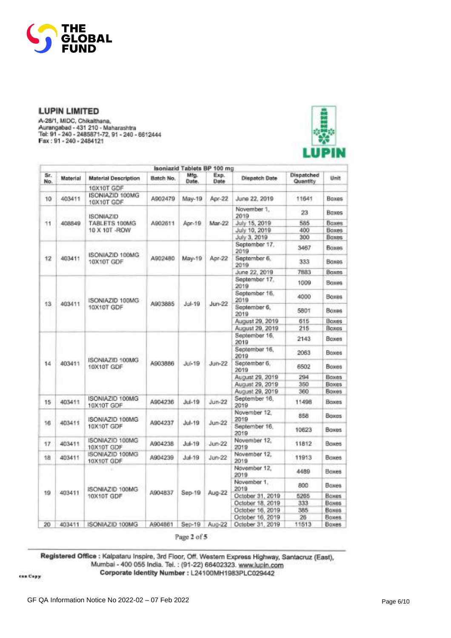

A-28/1, MIDC, Chikalthana,<br>Aurangabad - 431 210 - Maharashtra<br>Tel: 91 - 240 - 2485871-72, 91 - 240 - 6612444<br>Fax : 91 - 240 - 2485871-72, 91 - 240 - 6612444



|            | Isoniazid Tablets BP 100 mg |                               |                       |               |              |                       |                        |                     |                      |       |       |
|------------|-----------------------------|-------------------------------|-----------------------|---------------|--------------|-----------------------|------------------------|---------------------|----------------------|-------|-------|
| Sr.<br>No. | Material                    | <b>Material Description</b>   | Batch No.             | Mfg.<br>Date. | Exp.<br>Date | <b>Dispatch Date</b>  | Dispatched<br>Quantity | Unit                |                      |       |       |
|            |                             | 10X10T GDF                    |                       |               |              |                       |                        |                     |                      |       |       |
| 10         | 403411                      | ISONIAZID 100MG<br>10X10T GDF | A902479               | May-19        | Apr-22       | June 22, 2019         | 11641                  | Boxes               |                      |       |       |
|            |                             | <b>ISONIAZID</b>              |                       |               |              | November 1.<br>2019   | 23                     | <b>Boxes</b>        |                      |       |       |
| 11         | 408849                      | TABLETS 100MG                 | A902611               | Apr-19        | Mar-22       | July 15, 2019         | 585                    | <b>Boxes</b>        |                      |       |       |
|            |                             | 10 X 10T - ROW                |                       |               |              | July 10, 2019         | 400                    | <b>Boxes</b>        |                      |       |       |
|            |                             |                               |                       |               |              | July 3, 2019          | 300                    | <b>Baxes</b>        |                      |       |       |
|            |                             |                               |                       |               |              | September 17.<br>2019 | 3467                   | <b>Boxes</b>        |                      |       |       |
| 12         | 403411                      | ISONIAZID 100MG<br>10X10T GDF | A902480               | May-19        | Apr-22       | September 6.<br>2019  | 333                    | Boxes               |                      |       |       |
|            |                             |                               |                       |               |              | June 22, 2019         | 7883                   | <b>Boxes</b>        |                      |       |       |
|            |                             |                               | September 17.<br>2019 | 1009          | Boxes        |                       |                        |                     |                      |       |       |
|            |                             | ISONIAZID 100MG               |                       |               |              | September 16.<br>2019 | 4000                   | Boxes.              |                      |       |       |
| 13         | 403411                      | 10X10T GDF                    | A903885               | $J$ ul-19     | $J$ un-22    | September 6,<br>2019  | 5801                   | Boxes               |                      |       |       |
|            |                             |                               |                       |               |              | August 29, 2019       | 615                    | Boxes               |                      |       |       |
|            |                             |                               |                       |               |              | August 29, 2019       | 215                    | Boxes               |                      |       |       |
|            |                             | ISONIAZID 100MG<br>10X10T GDF |                       |               |              | September 16.<br>2019 | 2143                   | Boxes               |                      |       |       |
|            |                             |                               |                       | $M-19$        |              | September 16,<br>2019 | 2063                   | Boxes               |                      |       |       |
| 14         | 403411                      |                               | A903886               |               |              |                       |                        | $J$ un-22           | September 6.<br>2019 | 6502  | Boxes |
|            |                             |                               |                       |               |              | August 29, 2019       | 294                    | Boxes               |                      |       |       |
|            |                             |                               |                       |               |              | August 29, 2019       | 350                    | <b>Boxes</b>        |                      |       |       |
|            |                             |                               |                       |               |              | August 29, 2019       | 360                    | Boxes               |                      |       |       |
| 15         | 403411                      | ISONIAZIO 100MG<br>10X10T GDF | A904236               | Jul-19        | $Jun-22$     | September 16.<br>2019 | 11498                  | Boxes               |                      |       |       |
|            |                             | ISONIAZID 100MG               |                       |               |              |                       |                        | November 12<br>2019 | 858                  | Baxes |       |
| 16         | 403411                      | 10X10T GDF                    | A904237               | $Jul-19$      | $Jun-22$     | September 16.<br>2019 | 10623                  | <b>Baxes</b>        |                      |       |       |
| 17         | 403411                      | ISONIAZIO 100MG<br>10X10T GDF | A904238               | $Jul-19$      | $J$ un-22    | November 12.<br>2019  | 11812                  | Boxes               |                      |       |       |
| 18         | 403411                      | ISONIAZID 100MG<br>10X10T GDF | A904239               | $Ju + 19$     | $J$ un-22    | November 12,<br>2019  | 11913                  | <b>Boones</b>       |                      |       |       |
|            |                             |                               |                       |               |              | November 12.<br>2019  | 4489                   | <b>Boxes</b>        |                      |       |       |
|            |                             | ISONIAZID 100MG               |                       |               |              | November 1.<br>2019   | 800                    | Boxes               |                      |       |       |
| 19         | 403411                      | 10X10T GDF                    | A904837               | $Sep-19$      | Aug-22       | October 31, 2019      | 5265                   | <b>Boxes</b>        |                      |       |       |
|            |                             |                               |                       |               |              | October 18, 2019      | 333                    | <b>Boxes</b>        |                      |       |       |
|            |                             |                               |                       |               |              | October 16, 2019      | 385                    | <b>Boxes</b>        |                      |       |       |
|            |                             |                               |                       |               |              | October 16, 2019      | 26                     | Boxes               |                      |       |       |
| 20         | 403411                      | ISONIAZID 100MG               | A904861               | $Sep-19$      | Aug-22       | October 31, 2019      | 11513                  | <b>Boxes</b>        |                      |       |       |

Page 2 of 5

Registered Office : Kalpataru Inspire, 3rd Floor, Off. Western Express Highway, Santacruz (East), Mumbai - 400 055 India. Tel. : (91-22) 66402323. www.lupin.com

Corporate Identity Number : L24100MH1983PLC029442

can Copy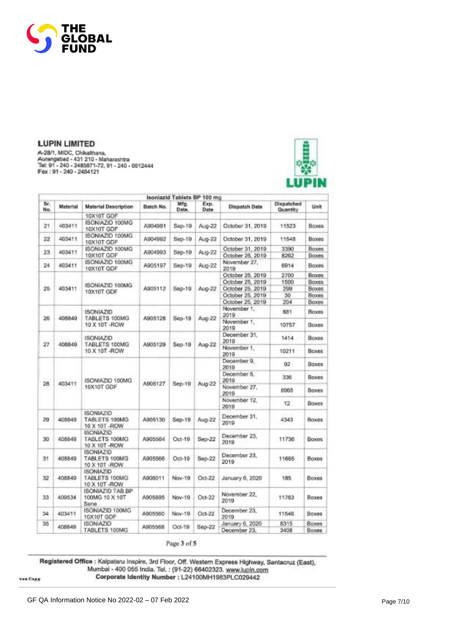

A-28/1, MIDC, Chikalthana, Aurangabad - 431 210 - Maharashtra<br>Tal: 91 - 240 - 2485871-72, 91 - 240 - 8612444<br>Fax: 91 - 240 - 2484121



|                 |                                                           |                                                     |           | Isoniazid Tablets BP 100 mg |              |                                 |                        |                       |  |                      |    |
|-----------------|-----------------------------------------------------------|-----------------------------------------------------|-----------|-----------------------------|--------------|---------------------------------|------------------------|-----------------------|--|----------------------|----|
| Sr.<br>No.      | Material                                                  | <b>Material Description</b>                         | Batch No. | Mfg.<br>Date.               | Exp.<br>Date | Dispatch Date                   | Dispatched<br>Quantity | Unit                  |  |                      |    |
|                 |                                                           | 10X10T GDF                                          |           |                             |              |                                 |                        |                       |  |                      |    |
| 21              | 403411                                                    | ISONIAZID 100MG<br>10X10T GDF                       | A904991   | Sep-19                      | Aug-22       | October 31, 2019                | 11523                  | <b>Boxes</b>          |  |                      |    |
| 22              | 403411                                                    | ISONIAZID 100MG<br>10X10T GDF                       | A904992   | $Sep-19$                    | Aug-22       | October 31, 2019                | 11548                  | Boxes                 |  |                      |    |
| 23              | 403411                                                    | ISONIAZID 100MG                                     | A904993   |                             |              | October 31, 2019                | 3390                   | Boxes                 |  |                      |    |
|                 |                                                           | 10X10T GDF                                          |           | $Sep-19$                    | Aug-22       | October 25, 2019                | 8262                   | <b>Boxes</b>          |  |                      |    |
| 24              | 403411                                                    | ISONIAZID 100MG<br>10X10T GDF                       | A905197   | Sep-19                      | Aug-22       | November 27,<br>2019            | 6914                   | Boxes                 |  |                      |    |
|                 |                                                           |                                                     |           |                             |              | October 25, 2019                | 2700                   | <b>Baxes</b>          |  |                      |    |
|                 |                                                           |                                                     |           |                             |              | October 25, 2019                | 1500                   | <b>Boxes</b>          |  |                      |    |
| 25              | ISONIAZID 100MG<br>403411<br>A905112<br><b>10X10T GDF</b> |                                                     |           | Sep-19                      | Aug-22       | October 25, 2019                | 299                    | Boxes.                |  |                      |    |
|                 |                                                           |                                                     |           |                             |              | October 25, 2019                | 30                     | Boxes                 |  |                      |    |
|                 |                                                           |                                                     |           | October 25, 2019            | 204          | <b>Boxes</b>                    |                        |                       |  |                      |    |
|                 |                                                           | <b>ISONIAZID</b>                                    |           |                             |              | November 1.<br>2019             | 881                    | <b>Boxes</b>          |  |                      |    |
| 26              | 408849                                                    | TABLETS 100MG<br>10 X 10T - ROW                     | A905128   | Sep-19                      | Aug-22       | November 1.<br>2019             | 10757                  | Boxes                 |  |                      |    |
|                 |                                                           | <b>ISONIAZID</b>                                    |           |                             |              | December 31.<br>2019            | 1414                   | Boxes                 |  |                      |    |
| 27              | 408849                                                    | TABLETS 100MG<br>10 X 10T -ROW                      | A905129   | $Sep-19$                    | Aug-22       | November 1.<br>2019             | 10211                  | Boxes                 |  |                      |    |
|                 |                                                           | ISONIAZID 100MG<br>10X10T GDF                       |           |                             | Aug-22       | December 9.<br>2019             | 92                     | Boxes                 |  |                      |    |
|                 |                                                           |                                                     |           |                             |              | December 5.<br>2019             | 336                    | Boxes                 |  |                      |    |
| 28 <sub>1</sub> | 403411                                                    |                                                     | A905127   | Sep-19                      |              | November 27.<br>2019            | 6965                   | Boxes                 |  |                      |    |
|                 |                                                           |                                                     |           |                             |              |                                 |                        |                       |  | November 12.<br>2019 | 12 |
| 29              | 408849                                                    | ISONIAZID<br>TABLETS 100MG<br>10 X 10T - ROW        | A905130   | Sep-19                      | Aug-22       | December 31.<br>2019            | 4343                   | <b>Baxes</b>          |  |                      |    |
| 30              | 408849                                                    | <b>ISONIAZID</b><br>TABLETS 100MG<br>10 X 10T - ROW | A905564   | $Oct-19$                    | $Sep-22$     | December 23.<br>2019            | 11736                  | <b>Boxes</b>          |  |                      |    |
| 31              | 408849                                                    | ISONIAZID<br>TABLETS 100MG<br>10 X 10T -ROW         | A905566   | $Oct-19$                    | Sep-22       | December 23.<br>2019            | 11665                  | <b>Boxes</b>          |  |                      |    |
| 32              | 408849                                                    | <b>ISONIAZID</b><br>TABLETS 100MG<br>10 X 10T - ROW | A906011   | Nov-19                      | $Oct-22$     | January 6, 2020                 | 185                    | Boxes                 |  |                      |    |
| 33              | 409534                                                    | <b>ISONIAZID TAB.BP</b><br>100MG 10 X 10T<br>Sene   | A905895   | Nov-19                      | Oct-22       | November 22,<br>2019            | 11763                  | Boxes                 |  |                      |    |
| 34              | 403411                                                    | ISON/AZID 100MG<br>10X10T GDF                       | A905560   | Nov-19                      | Oct-22       | December 23,<br>2019            | 11546                  | <b>Boxes</b>          |  |                      |    |
| 35              | 408849                                                    | <b>ISONIAZID</b><br>TABLETS 100MG                   | A905568   | Oct-19                      | Sep-22       | January 6, 2020<br>December 23. | 8315<br>3408           | Boxes<br><b>Boxes</b> |  |                      |    |

Page 3 of 5

Registered Office : Kalpataru Inspire, 3rd Floor, Off. Western Express Highway, Santacruz (East),<br>Mumbai - 400 055 India. Tel. : (91-22) 66402323. www.lupin.com<br>Corporate Identity Number : L24100MH1983PLC029442

lean Capy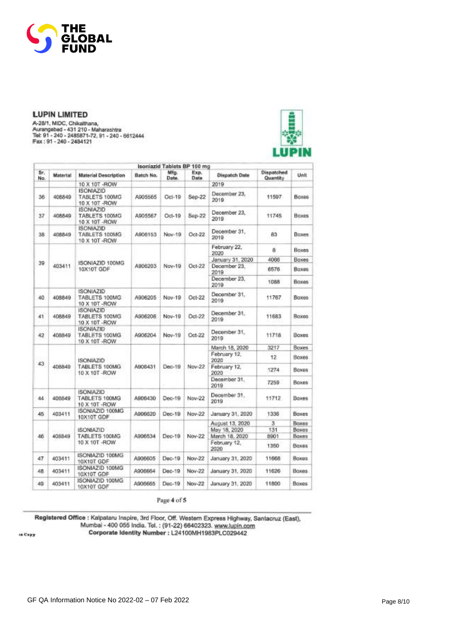

A-28/1, MIDC, Chikalthana,<br>Aurangabad - 431 210 - Maharashtra<br>Tel: 91 - 240 - 2485871-72, 91 - 240 - 6612444<br>Fax : 91 - 240 - 2485871-72, 91 - 240 - 6612444



|            |          |                                                     |                                                     | Isoniazid Tablets BP 100 mg |              |                      |                        |              |  |  |  |  |  |  |  |  |  |  |  |  |  |  |  |  |  |  |                      |      |
|------------|----------|-----------------------------------------------------|-----------------------------------------------------|-----------------------------|--------------|----------------------|------------------------|--------------|--|--|--|--|--|--|--|--|--|--|--|--|--|--|--|--|--|--|----------------------|------|
| Sr.<br>No. | Material | Material Description                                | Batch No.                                           | Mfg.<br>Date.               | Exp.<br>Date | <b>Dispatch Date</b> | Dispatched<br>Quantity | Unit         |  |  |  |  |  |  |  |  |  |  |  |  |  |  |  |  |  |  |                      |      |
|            |          | 10 X 10T -ROW                                       |                                                     |                             |              | 2019                 |                        |              |  |  |  |  |  |  |  |  |  |  |  |  |  |  |  |  |  |  |                      |      |
| 36         | 406849   | <b>ISONIAZID</b><br>TABLETS 100MG<br>10 X 10T -ROW  | A905565                                             | $OC1-19$                    | Sep-22       | December 23.<br>2019 | 11597                  | Boxes        |  |  |  |  |  |  |  |  |  |  |  |  |  |  |  |  |  |  |                      |      |
| 37         | 408849   | ISON/AZID<br>TABLETS 100MG<br>10 X 10T -ROW         | A905567                                             | Oct-19                      | Sep-22       | December 23.<br>2019 | 11745                  | Boxes        |  |  |  |  |  |  |  |  |  |  |  |  |  |  |  |  |  |  |                      |      |
| 38         | 408849   | <b>ISONIAZID</b><br>TABLETS 100MG<br>10 X 10T - ROW | A906153                                             | Nov-19                      | Oct.22       | December 31.<br>2019 | 83                     | Boxes        |  |  |  |  |  |  |  |  |  |  |  |  |  |  |  |  |  |  |                      |      |
|            |          |                                                     |                                                     |                             |              | February 22,<br>2020 | 8                      | <b>Boxes</b> |  |  |  |  |  |  |  |  |  |  |  |  |  |  |  |  |  |  |                      |      |
|            |          |                                                     |                                                     |                             |              | January 31, 2020     | 4066                   | Boxes        |  |  |  |  |  |  |  |  |  |  |  |  |  |  |  |  |  |  |                      |      |
| 39         | 403411   | ISONIAZID 100MG<br>10X10T GDF                       | A906203                                             | Nov-19                      | $Oct-22$     | December 23.<br>2019 | 6576                   | <b>Boxes</b> |  |  |  |  |  |  |  |  |  |  |  |  |  |  |  |  |  |  |                      |      |
|            |          |                                                     |                                                     |                             |              | December 23.<br>2019 | 1088                   | <b>Boxes</b> |  |  |  |  |  |  |  |  |  |  |  |  |  |  |  |  |  |  |                      |      |
| 40         | 408849   | <b>ISONIAZID</b><br>TABLETS 100MG<br>10 X 10T - ROW | December 31.<br>A906205<br>Nov-19<br>Oct-22<br>2019 |                             | 11767        | <b>Boxes</b>         |                        |              |  |  |  |  |  |  |  |  |  |  |  |  |  |  |  |  |  |  |                      |      |
| 41         | 408849   | <b>ISONIAZID</b><br>TABLETS 100MG<br>10 X 10T - ROW | A906206                                             | Nov-19                      | Oct-22       | December 31.<br>2019 | 11583                  | <b>Boxes</b> |  |  |  |  |  |  |  |  |  |  |  |  |  |  |  |  |  |  |                      |      |
| 42         | 408849   | <b>ISONIAZID</b><br>TABLETS 100MG<br>10 X 10T - ROW | A906204                                             | Nov-19                      | Oct-22       | December 31.<br>2019 | 11718                  | Boxes        |  |  |  |  |  |  |  |  |  |  |  |  |  |  |  |  |  |  |                      |      |
|            |          | <b>ISONIAZID</b><br>TABLETS 100MG<br>10 X 10T -ROW  | A906431                                             | Dec-19                      | Nov-22       | March 18, 2020       | 3217                   | Boxes.       |  |  |  |  |  |  |  |  |  |  |  |  |  |  |  |  |  |  |                      |      |
| 43         |          |                                                     |                                                     |                             |              | February 12,<br>2020 | 12                     | <b>Boxes</b> |  |  |  |  |  |  |  |  |  |  |  |  |  |  |  |  |  |  |                      |      |
|            | 408849   |                                                     |                                                     |                             |              | February 12.<br>2020 | 1274                   | Boxes        |  |  |  |  |  |  |  |  |  |  |  |  |  |  |  |  |  |  |                      |      |
|            |          |                                                     |                                                     |                             |              |                      |                        |              |  |  |  |  |  |  |  |  |  |  |  |  |  |  |  |  |  |  | December 31.<br>2019 | 7259 |
| 44         | 408849   | <b>ISONIAZID</b><br>TABLETS 100MG<br>10 X 10T - ROW | A906430                                             | Dec-19                      | Nov-22       | December 31.<br>2019 | 11712                  | Boxes        |  |  |  |  |  |  |  |  |  |  |  |  |  |  |  |  |  |  |                      |      |
| 45         | 403411   | ISONIAZIO 100MG<br>10X10T GDF                       | A906620                                             | Dec-19                      | Nov-22       | January 31, 2020     | 1336                   | <b>Boxes</b> |  |  |  |  |  |  |  |  |  |  |  |  |  |  |  |  |  |  |                      |      |
|            |          |                                                     |                                                     |                             |              | August 13, 2020      | з                      | Boxes        |  |  |  |  |  |  |  |  |  |  |  |  |  |  |  |  |  |  |                      |      |
|            |          | <b>ISONIAZID</b>                                    |                                                     |                             |              | May 18, 2020         | 131                    | <b>Boxes</b> |  |  |  |  |  |  |  |  |  |  |  |  |  |  |  |  |  |  |                      |      |
| 46         | 408849   | TABLETS 100MG                                       | A906534                                             | Dec-19                      | Nov-22       | March 18, 2020       | 8901                   | Baxes        |  |  |  |  |  |  |  |  |  |  |  |  |  |  |  |  |  |  |                      |      |
|            |          | 10 X 10T - ROW                                      |                                                     |                             |              | February 12.<br>2020 | 1350                   | Boxes        |  |  |  |  |  |  |  |  |  |  |  |  |  |  |  |  |  |  |                      |      |
| 47         | 403411   | ISONIAZID 100MG<br>10X10T GDF                       | A906605                                             | Dec-19                      | Nov-22       | January 31, 2020     | 11668                  | <b>Baxes</b> |  |  |  |  |  |  |  |  |  |  |  |  |  |  |  |  |  |  |                      |      |
| 48         | 403411   | ISONIAZID 100MG<br>10X10T GDF                       | A906664                                             | $Dac-19$                    | Nov-22       | January 31, 2020     | 11626                  | Boxes        |  |  |  |  |  |  |  |  |  |  |  |  |  |  |  |  |  |  |                      |      |
| 49         | 403411   | ISONIAZID 100MG<br>10X10T GDF                       | A906665                                             | $Dec-19$                    | Nov-22       | January 31, 2020     | 11800                  | Boxes        |  |  |  |  |  |  |  |  |  |  |  |  |  |  |  |  |  |  |                      |      |

Page 4 of 5

Registered Office : Kalpataru Inspire, 3rd Floor, Off. Western Express Highway, Santacruz (East), Mumbai - 400 055 India. Tel. : (91-22) 66402323. www.lupin.com<br>Corporate Identity Number : L24100MH1983PLC029442

in Copy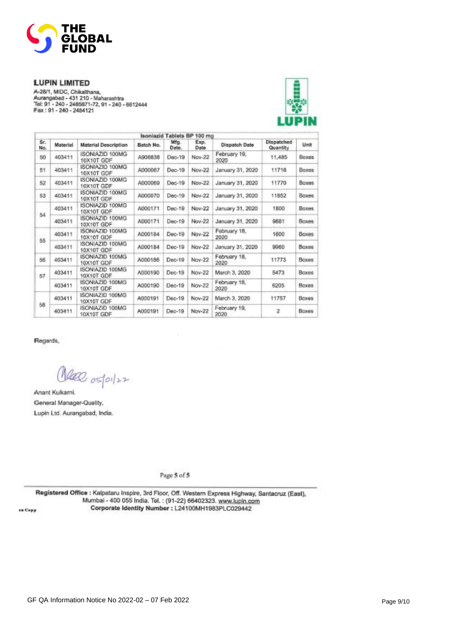

-<br>- A-28/1, MIDC, Chikalthana,<br>- Aurangabad - 431 210 - Maharashtra<br>- Tel: 91 - 240 - 2485871-72, 91 - 240 - 6612444<br>- Fax : 91 - 240 - 2484121



|            |                                         |                                          |           | Isoniazid Tablets BP 100 mg |               |                      |                        |              |
|------------|-----------------------------------------|------------------------------------------|-----------|-----------------------------|---------------|----------------------|------------------------|--------------|
| Sr.<br>No. | Material                                | <b>Material Description</b>              | Batch No. | Mfg.<br>Date.               | Exp.<br>Date: | Dispatch Date        | Dispatched<br>Quantity | Unit         |
| 50         | 403411                                  | ISONIAZID 100MG<br>10X10T GDF            | A906838   | Dec-19                      | Nov-22        | February 19.<br>2020 | 11,485                 | <b>Boxes</b> |
| 51         | 403411                                  | ISONIAZID 100MG<br>10X10T GDF            | A000067   | Dec-19                      | Nov-22        | January 31, 2020     | 11716                  | Baxes        |
| 52         | ISONIAZID 100MG<br>403411<br>10X10T GDF |                                          | A000069   | $Dac-19$                    | Nov-22        | January 31, 2020     | 11770                  | <b>Baxes</b> |
| 53         | 403411                                  | ISONIAZID 100MG<br>A000070<br>10X10T GDF |           | Dec-19                      | Nov-22        | January 31, 2020     | 11852                  | Baxes        |
|            | 403411                                  | ISONIAZID 100MG<br>10X10T GDF            | A000171   | $Dec-19$                    | Nov-22        | January 31, 2020     | 1800                   | Boxes.       |
| 54         | 403411                                  | ISONIAZID 100MG<br>10X10T GDF            | A000171   | Dec-19                      | Nov-22        | January 31, 2020     | 9881                   | <b>Boxes</b> |
| 55         | 403411                                  | ISONIAZID 100MG<br>10X10T GDF            | A000184   | $Dec-19$                    | Nov-22        | February 18,<br>2020 | 1600                   | Boxes:       |
|            | 403411                                  | ISONIAZID 100MG<br>10X10T GDF            | A000184   | $Dec-19$                    | Nov-22        | January 31, 2020     | 9960                   | <b>Boxes</b> |
| 56         | ISONIAZID 100MG<br>403411<br>10X10T GDF |                                          | A000186   | $Dec-19$                    | Nov-22        | February 18.<br>2020 | 11773                  | <b>Boxes</b> |
| 57         | 403411                                  | ISONIAZID 100MG<br>10X10T GDF            | A000190   | Dec-19                      | Nov-22        | March 3, 2020        | 5473                   | Boxes        |
|            | 403411                                  | ISONIAZID 100MG<br>10X10T GDF            | A000190   | Dec-19                      | Nov-22        | February 18.<br>2020 | 6205                   | Boxes        |
|            | 403411                                  | ISONIAZID 100MG<br>10X10T GDF            | A000191   | Dec-19                      | Nov-22        | March 3, 2020.       | 11757                  | Boxes        |
| 58         | 403411                                  | ISONIAZID 100MG<br>10X10T GDF            | A000191   | Dec-19                      | Nov-22        | February 19.<br>2020 | 2                      | Boxes        |

Regards,

Olea ostoiler

Anant Kukami. General Manager-Quality, Lupin Ltd. Aurangabad, India.

Page 5 of 5

Registered Office : Kalpataru Inspire, 3rd Floor, Off. Western Express Highway, Santacruz (East), Mumbai - 400 055 India. Tel.: (91-22) 66402323. www.lupin.com Corporate Identity Number : L24100MH1983PLC029442